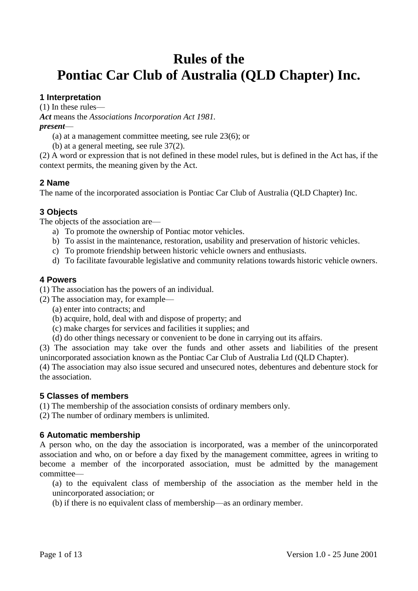# **Rules of the Pontiac Car Club of Australia (QLD Chapter) Inc.**

# **1 Interpretation**

(1) In these rules—

*Act* means the *Associations Incorporation Act 1981.*

#### *present*—

(a) at a management committee meeting, see rule 23(6); or

(b) at a general meeting, see rule 37(2).

(2) A word or expression that is not defined in these model rules, but is defined in the Act has, if the context permits, the meaning given by the Act.

# **2 Name**

The name of the incorporated association is Pontiac Car Club of Australia (QLD Chapter) Inc.

# **3 Objects**

The objects of the association are—

- a) To promote the ownership of Pontiac motor vehicles.
- b) To assist in the maintenance, restoration, usability and preservation of historic vehicles.
- c) To promote friendship between historic vehicle owners and enthusiasts.
- d) To facilitate favourable legislative and community relations towards historic vehicle owners.

## **4 Powers**

(1) The association has the powers of an individual.

(2) The association may, for example—

- (a) enter into contracts; and
- (b) acquire, hold, deal with and dispose of property; and
- (c) make charges for services and facilities it supplies; and
- (d) do other things necessary or convenient to be done in carrying out its affairs.

(3) The association may take over the funds and other assets and liabilities of the present unincorporated association known as the Pontiac Car Club of Australia Ltd (QLD Chapter).

(4) The association may also issue secured and unsecured notes, debentures and debenture stock for the association.

## **5 Classes of members**

(1) The membership of the association consists of ordinary members only.

(2) The number of ordinary members is unlimited.

## **6 Automatic membership**

A person who, on the day the association is incorporated, was a member of the unincorporated association and who, on or before a day fixed by the management committee, agrees in writing to become a member of the incorporated association, must be admitted by the management committee—

(a) to the equivalent class of membership of the association as the member held in the unincorporated association; or

(b) if there is no equivalent class of membership—as an ordinary member.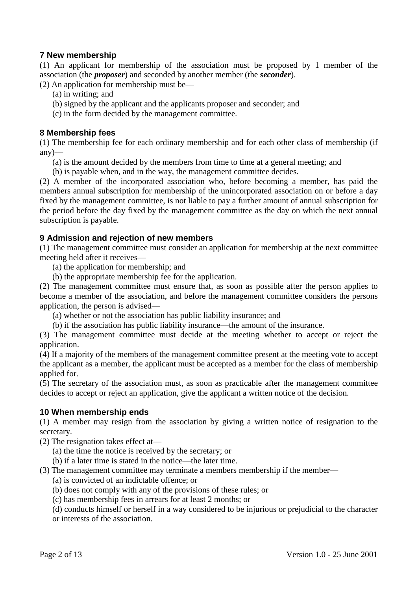## **7 New membership**

(1) An applicant for membership of the association must be proposed by 1 member of the association (the *proposer*) and seconded by another member (the *seconder*).

(2) An application for membership must be—

- (a) in writing; and
- (b) signed by the applicant and the applicants proposer and seconder; and
- (c) in the form decided by the management committee.

## **8 Membership fees**

(1) The membership fee for each ordinary membership and for each other class of membership (if  $any$ —

- (a) is the amount decided by the members from time to time at a general meeting; and
- (b) is payable when, and in the way, the management committee decides.

(2) A member of the incorporated association who, before becoming a member, has paid the members annual subscription for membership of the unincorporated association on or before a day fixed by the management committee, is not liable to pay a further amount of annual subscription for the period before the day fixed by the management committee as the day on which the next annual subscription is payable.

## **9 Admission and rejection of new members**

(1) The management committee must consider an application for membership at the next committee meeting held after it receives—

(a) the application for membership; and

(b) the appropriate membership fee for the application.

(2) The management committee must ensure that, as soon as possible after the person applies to become a member of the association, and before the management committee considers the persons application, the person is advised—

(a) whether or not the association has public liability insurance; and

(b) if the association has public liability insurance—the amount of the insurance.

(3) The management committee must decide at the meeting whether to accept or reject the application.

(4) If a majority of the members of the management committee present at the meeting vote to accept the applicant as a member, the applicant must be accepted as a member for the class of membership applied for.

(5) The secretary of the association must, as soon as practicable after the management committee decides to accept or reject an application, give the applicant a written notice of the decision.

## **10 When membership ends**

(1) A member may resign from the association by giving a written notice of resignation to the secretary.

(2) The resignation takes effect at—

(a) the time the notice is received by the secretary; or

(b) if a later time is stated in the notice—the later time.

(3) The management committee may terminate a members membership if the member—

- (a) is convicted of an indictable offence; or
- (b) does not comply with any of the provisions of these rules; or
- (c) has membership fees in arrears for at least 2 months; or

(d) conducts himself or herself in a way considered to be injurious or prejudicial to the character or interests of the association.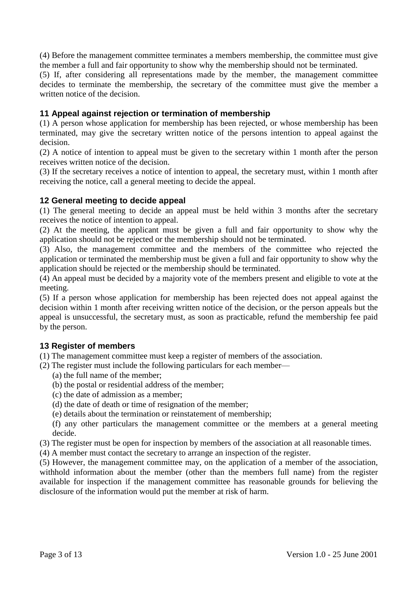(4) Before the management committee terminates a members membership, the committee must give the member a full and fair opportunity to show why the membership should not be terminated.

(5) If, after considering all representations made by the member, the management committee decides to terminate the membership, the secretary of the committee must give the member a written notice of the decision.

## **11 Appeal against rejection or termination of membership**

(1) A person whose application for membership has been rejected, or whose membership has been terminated, may give the secretary written notice of the persons intention to appeal against the decision.

(2) A notice of intention to appeal must be given to the secretary within 1 month after the person receives written notice of the decision.

(3) If the secretary receives a notice of intention to appeal, the secretary must, within 1 month after receiving the notice, call a general meeting to decide the appeal.

## **12 General meeting to decide appeal**

(1) The general meeting to decide an appeal must be held within 3 months after the secretary receives the notice of intention to appeal.

(2) At the meeting, the applicant must be given a full and fair opportunity to show why the application should not be rejected or the membership should not be terminated.

(3) Also, the management committee and the members of the committee who rejected the application or terminated the membership must be given a full and fair opportunity to show why the application should be rejected or the membership should be terminated.

(4) An appeal must be decided by a majority vote of the members present and eligible to vote at the meeting.

(5) If a person whose application for membership has been rejected does not appeal against the decision within 1 month after receiving written notice of the decision, or the person appeals but the appeal is unsuccessful, the secretary must, as soon as practicable, refund the membership fee paid by the person.

## **13 Register of members**

(1) The management committee must keep a register of members of the association.

- (2) The register must include the following particulars for each member—
	- (a) the full name of the member;
	- (b) the postal or residential address of the member;
	- (c) the date of admission as a member;
	- (d) the date of death or time of resignation of the member;
	- (e) details about the termination or reinstatement of membership;
	- (f) any other particulars the management committee or the members at a general meeting decide.
- (3) The register must be open for inspection by members of the association at all reasonable times.
- (4) A member must contact the secretary to arrange an inspection of the register.

(5) However, the management committee may, on the application of a member of the association, withhold information about the member (other than the members full name) from the register available for inspection if the management committee has reasonable grounds for believing the disclosure of the information would put the member at risk of harm.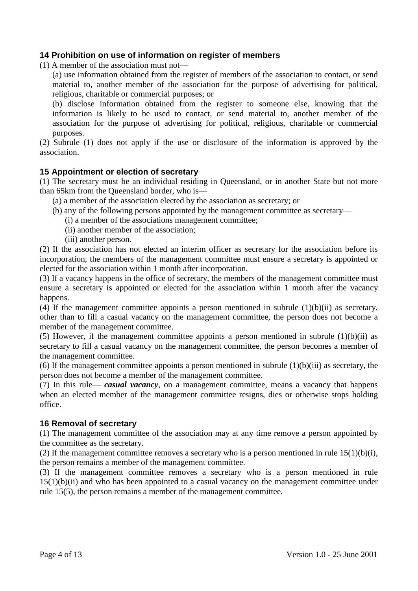## **14 Prohibition on use of information on register of members**

(1) A member of the association must not—

(a) use information obtained from the register of members of the association to contact, or send material to, another member of the association for the purpose of advertising for political, religious, charitable or commercial purposes; or

(b) disclose information obtained from the register to someone else, knowing that the information is likely to be used to contact, or send material to, another member of the association for the purpose of advertising for political, religious, charitable or commercial purposes.

(2) Subrule (1) does not apply if the use or disclosure of the information is approved by the association.

#### **15 Appointment or election of secretary**

(1) The secretary must be an individual residing in Queensland, or in another State but not more than 65km from the Queensland border, who is—

(a) a member of the association elected by the association as secretary; or

- (b) any of the following persons appointed by the management committee as secretary—
	- (i) a member of the associations management committee;
	- (ii) another member of the association;
	- (iii) another person.

(2) If the association has not elected an interim officer as secretary for the association before its incorporation, the members of the management committee must ensure a secretary is appointed or elected for the association within 1 month after incorporation.

(3) If a vacancy happens in the office of secretary, the members of the management committee must ensure a secretary is appointed or elected for the association within 1 month after the vacancy happens.

(4) If the management committee appoints a person mentioned in subrule  $(1)(b)(ii)$  as secretary, other than to fill a casual vacancy on the management committee, the person does not become a member of the management committee.

(5) However, if the management committee appoints a person mentioned in subrule  $(1)(b)(ii)$  as secretary to fill a casual vacancy on the management committee, the person becomes a member of the management committee.

(6) If the management committee appoints a person mentioned in subrule  $(1)(b)(iii)$  as secretary, the person does not become a member of the management committee.

(7) In this rule— *casual vacancy*, on a management committee, means a vacancy that happens when an elected member of the management committee resigns, dies or otherwise stops holding office.

## **16 Removal of secretary**

(1) The management committee of the association may at any time remove a person appointed by the committee as the secretary.

(2) If the management committee removes a secretary who is a person mentioned in rule  $15(1)(b)(i)$ , the person remains a member of the management committee.

(3) If the management committee removes a secretary who is a person mentioned in rule  $15(1)(b)(ii)$  and who has been appointed to a casual vacancy on the management committee under rule 15(5), the person remains a member of the management committee.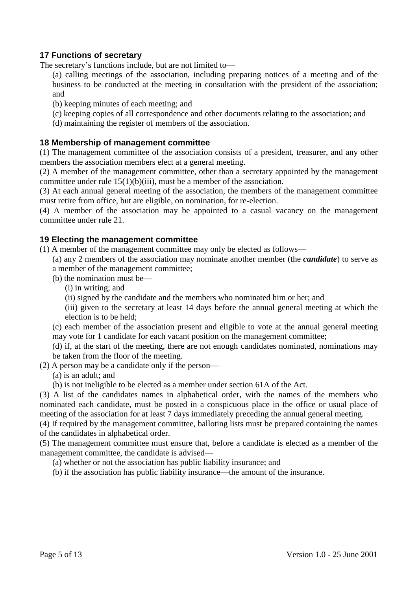# **17 Functions of secretary**

The secretary's functions include, but are not limited to—

(a) calling meetings of the association, including preparing notices of a meeting and of the business to be conducted at the meeting in consultation with the president of the association; and

- (b) keeping minutes of each meeting; and
- (c) keeping copies of all correspondence and other documents relating to the association; and
- (d) maintaining the register of members of the association.

#### **18 Membership of management committee**

(1) The management committee of the association consists of a president, treasurer, and any other members the association members elect at a general meeting.

(2) A member of the management committee, other than a secretary appointed by the management committee under rule 15(1)(b)(iii), must be a member of the association.

(3) At each annual general meeting of the association, the members of the management committee must retire from office, but are eligible, on nomination, for re-election.

(4) A member of the association may be appointed to a casual vacancy on the management committee under rule 21.

#### **19 Electing the management committee**

- (1) A member of the management committee may only be elected as follows—
	- (a) any 2 members of the association may nominate another member (the *candidate*) to serve as a member of the management committee;
	- (b) the nomination must be—
		- (i) in writing; and
		- (ii) signed by the candidate and the members who nominated him or her; and

(iii) given to the secretary at least 14 days before the annual general meeting at which the election is to be held;

(c) each member of the association present and eligible to vote at the annual general meeting may vote for 1 candidate for each vacant position on the management committee;

(d) if, at the start of the meeting, there are not enough candidates nominated, nominations may be taken from the floor of the meeting.

(2) A person may be a candidate only if the person—

(a) is an adult; and

(b) is not ineligible to be elected as a member under section 61A of the Act.

(3) A list of the candidates names in alphabetical order, with the names of the members who nominated each candidate, must be posted in a conspicuous place in the office or usual place of meeting of the association for at least 7 days immediately preceding the annual general meeting.

(4) If required by the management committee, balloting lists must be prepared containing the names of the candidates in alphabetical order.

(5) The management committee must ensure that, before a candidate is elected as a member of the management committee, the candidate is advised—

(a) whether or not the association has public liability insurance; and

(b) if the association has public liability insurance—the amount of the insurance.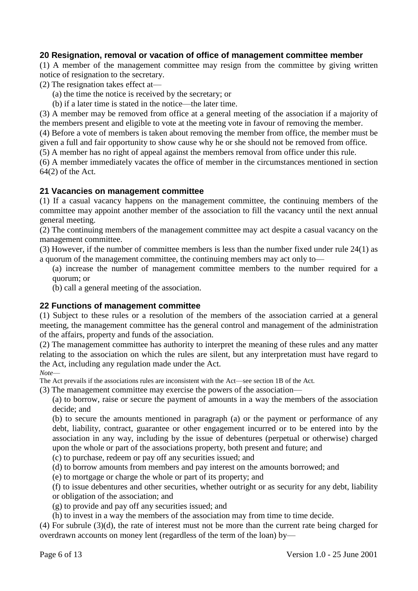# **20 Resignation, removal or vacation of office of management committee member**

(1) A member of the management committee may resign from the committee by giving written notice of resignation to the secretary.

(2) The resignation takes effect at—

(a) the time the notice is received by the secretary; or

(b) if a later time is stated in the notice—the later time.

(3) A member may be removed from office at a general meeting of the association if a majority of the members present and eligible to vote at the meeting vote in favour of removing the member.

(4) Before a vote of members is taken about removing the member from office, the member must be given a full and fair opportunity to show cause why he or she should not be removed from office.

(5) A member has no right of appeal against the members removal from office under this rule.

(6) A member immediately vacates the office of member in the circumstances mentioned in section 64(2) of the Act.

## **21 Vacancies on management committee**

(1) If a casual vacancy happens on the management committee, the continuing members of the committee may appoint another member of the association to fill the vacancy until the next annual general meeting.

(2) The continuing members of the management committee may act despite a casual vacancy on the management committee.

(3) However, if the number of committee members is less than the number fixed under rule 24(1) as a quorum of the management committee, the continuing members may act only to—

(a) increase the number of management committee members to the number required for a quorum; or

(b) call a general meeting of the association.

#### **22 Functions of management committee**

(1) Subject to these rules or a resolution of the members of the association carried at a general meeting, the management committee has the general control and management of the administration of the affairs, property and funds of the association.

(2) The management committee has authority to interpret the meaning of these rules and any matter relating to the association on which the rules are silent, but any interpretation must have regard to the Act, including any regulation made under the Act.

*Note*—

The Act prevails if the associations rules are inconsistent with the Act—see section 1B of the Act.

(3) The management committee may exercise the powers of the association—

(a) to borrow, raise or secure the payment of amounts in a way the members of the association decide; and

(b) to secure the amounts mentioned in paragraph (a) or the payment or performance of any debt, liability, contract, guarantee or other engagement incurred or to be entered into by the association in any way, including by the issue of debentures (perpetual or otherwise) charged upon the whole or part of the associations property, both present and future; and

(c) to purchase, redeem or pay off any securities issued; and

(d) to borrow amounts from members and pay interest on the amounts borrowed; and

(e) to mortgage or charge the whole or part of its property; and

(f) to issue debentures and other securities, whether outright or as security for any debt, liability or obligation of the association; and

- (g) to provide and pay off any securities issued; and
- (h) to invest in a way the members of the association may from time to time decide.

(4) For subrule (3)(d), the rate of interest must not be more than the current rate being charged for overdrawn accounts on money lent (regardless of the term of the loan) by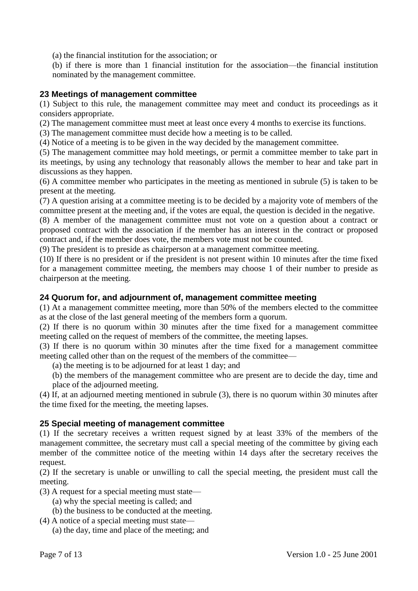(a) the financial institution for the association; or

(b) if there is more than 1 financial institution for the association—the financial institution nominated by the management committee.

## **23 Meetings of management committee**

(1) Subject to this rule, the management committee may meet and conduct its proceedings as it considers appropriate.

(2) The management committee must meet at least once every 4 months to exercise its functions.

(3) The management committee must decide how a meeting is to be called.

(4) Notice of a meeting is to be given in the way decided by the management committee.

(5) The management committee may hold meetings, or permit a committee member to take part in its meetings, by using any technology that reasonably allows the member to hear and take part in discussions as they happen.

(6) A committee member who participates in the meeting as mentioned in subrule (5) is taken to be present at the meeting.

(7) A question arising at a committee meeting is to be decided by a majority vote of members of the committee present at the meeting and, if the votes are equal, the question is decided in the negative.

(8) A member of the management committee must not vote on a question about a contract or proposed contract with the association if the member has an interest in the contract or proposed contract and, if the member does vote, the members vote must not be counted.

(9) The president is to preside as chairperson at a management committee meeting.

(10) If there is no president or if the president is not present within 10 minutes after the time fixed for a management committee meeting, the members may choose 1 of their number to preside as chairperson at the meeting.

## **24 Quorum for, and adjournment of, management committee meeting**

(1) At a management committee meeting, more than 50% of the members elected to the committee as at the close of the last general meeting of the members form a quorum.

(2) If there is no quorum within 30 minutes after the time fixed for a management committee meeting called on the request of members of the committee, the meeting lapses.

(3) If there is no quorum within 30 minutes after the time fixed for a management committee meeting called other than on the request of the members of the committee—

(a) the meeting is to be adjourned for at least 1 day; and

(b) the members of the management committee who are present are to decide the day, time and place of the adjourned meeting.

(4) If, at an adjourned meeting mentioned in subrule (3), there is no quorum within 30 minutes after the time fixed for the meeting, the meeting lapses.

## **25 Special meeting of management committee**

(1) If the secretary receives a written request signed by at least 33% of the members of the management committee, the secretary must call a special meeting of the committee by giving each member of the committee notice of the meeting within 14 days after the secretary receives the request.

(2) If the secretary is unable or unwilling to call the special meeting, the president must call the meeting.

- (3) A request for a special meeting must state—
	- (a) why the special meeting is called; and
	- (b) the business to be conducted at the meeting.
- (4) A notice of a special meeting must state—
	- (a) the day, time and place of the meeting; and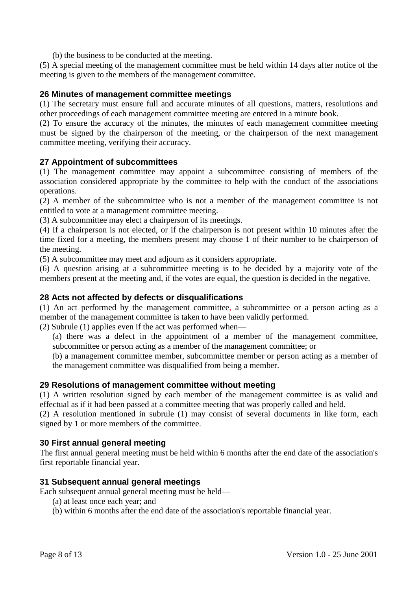(b) the business to be conducted at the meeting.

(5) A special meeting of the management committee must be held within 14 days after notice of the meeting is given to the members of the management committee.

## **26 Minutes of management committee meetings**

(1) The secretary must ensure full and accurate minutes of all questions, matters, resolutions and other proceedings of each management committee meeting are entered in a minute book.

(2) To ensure the accuracy of the minutes, the minutes of each management committee meeting must be signed by the chairperson of the meeting, or the chairperson of the next management committee meeting, verifying their accuracy.

#### **27 Appointment of subcommittees**

(1) The management committee may appoint a subcommittee consisting of members of the association considered appropriate by the committee to help with the conduct of the associations operations.

(2) A member of the subcommittee who is not a member of the management committee is not entitled to vote at a management committee meeting.

(3) A subcommittee may elect a chairperson of its meetings.

(4) If a chairperson is not elected, or if the chairperson is not present within 10 minutes after the time fixed for a meeting, the members present may choose 1 of their number to be chairperson of the meeting.

(5) A subcommittee may meet and adjourn as it considers appropriate.

(6) A question arising at a subcommittee meeting is to be decided by a majority vote of the members present at the meeting and, if the votes are equal, the question is decided in the negative.

#### **28 Acts not affected by defects or disqualifications**

(1) An act performed by the management committee, a subcommittee or a person acting as a member of the management committee is taken to have been validly performed.

(2) Subrule (1) applies even if the act was performed when—

(a) there was a defect in the appointment of a member of the management committee, subcommittee or person acting as a member of the management committee; or

(b) a management committee member, subcommittee member or person acting as a member of the management committee was disqualified from being a member.

#### **29 Resolutions of management committee without meeting**

(1) A written resolution signed by each member of the management committee is as valid and effectual as if it had been passed at a committee meeting that was properly called and held.

(2) A resolution mentioned in subrule (1) may consist of several documents in like form, each signed by 1 or more members of the committee.

#### **30 First annual general meeting**

The first annual general meeting must be held within 6 months after the end date of the association's first reportable financial year.

#### **31 Subsequent annual general meetings**

Each subsequent annual general meeting must be held—

- (a) at least once each year; and
- (b) within 6 months after the end date of the association's reportable financial year.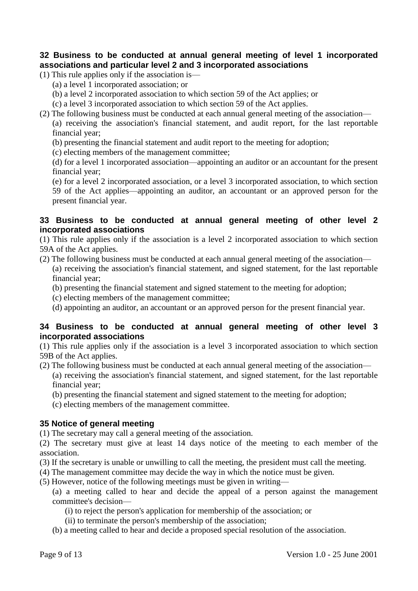## **32 Business to be conducted at annual general meeting of level 1 incorporated associations and particular level 2 and 3 incorporated associations**

- (1) This rule applies only if the association is—
	- (a) a level 1 incorporated association; or
	- (b) a level 2 incorporated association to which section 59 of the Act applies; or
	- (c) a level 3 incorporated association to which section 59 of the Act applies.
- (2) The following business must be conducted at each annual general meeting of the association—

(a) receiving the association's financial statement, and audit report, for the last reportable financial year;

- (b) presenting the financial statement and audit report to the meeting for adoption;
- (c) electing members of the management committee;

(d) for a level 1 incorporated association—appointing an auditor or an accountant for the present financial year;

(e) for a level 2 incorporated association, or a level 3 incorporated association, to which section 59 of the Act applies—appointing an auditor, an accountant or an approved person for the present financial year.

#### **33 Business to be conducted at annual general meeting of other level 2 incorporated associations**

(1) This rule applies only if the association is a level 2 incorporated association to which section 59A of the Act applies.

- (2) The following business must be conducted at each annual general meeting of the association— (a) receiving the association's financial statement, and signed statement, for the last reportable financial year;
	- (b) presenting the financial statement and signed statement to the meeting for adoption;
	- (c) electing members of the management committee;
	- (d) appointing an auditor, an accountant or an approved person for the present financial year.

## **34 Business to be conducted at annual general meeting of other level 3 incorporated associations**

(1) This rule applies only if the association is a level 3 incorporated association to which section 59B of the Act applies.

- (2) The following business must be conducted at each annual general meeting of the association— (a) receiving the association's financial statement, and signed statement, for the last reportable financial year;
	- (b) presenting the financial statement and signed statement to the meeting for adoption;
	- (c) electing members of the management committee.

## **35 Notice of general meeting**

(1) The secretary may call a general meeting of the association.

(2) The secretary must give at least 14 days notice of the meeting to each member of the association.

- (3) If the secretary is unable or unwilling to call the meeting, the president must call the meeting.
- (4) The management committee may decide the way in which the notice must be given.
- (5) However, notice of the following meetings must be given in writing—

(a) a meeting called to hear and decide the appeal of a person against the management committee's decision—

- (i) to reject the person's application for membership of the association; or
- (ii) to terminate the person's membership of the association;
- (b) a meeting called to hear and decide a proposed special resolution of the association.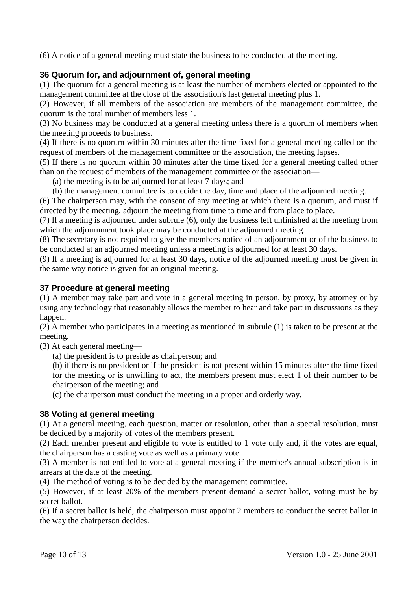(6) A notice of a general meeting must state the business to be conducted at the meeting.

# **36 Quorum for, and adjournment of, general meeting**

(1) The quorum for a general meeting is at least the number of members elected or appointed to the management committee at the close of the association's last general meeting plus 1.

(2) However, if all members of the association are members of the management committee, the quorum is the total number of members less 1.

(3) No business may be conducted at a general meeting unless there is a quorum of members when the meeting proceeds to business.

(4) If there is no quorum within 30 minutes after the time fixed for a general meeting called on the request of members of the management committee or the association, the meeting lapses.

(5) If there is no quorum within 30 minutes after the time fixed for a general meeting called other than on the request of members of the management committee or the association—

(a) the meeting is to be adjourned for at least 7 days; and

(b) the management committee is to decide the day, time and place of the adjourned meeting.

(6) The chairperson may, with the consent of any meeting at which there is a quorum, and must if directed by the meeting, adjourn the meeting from time to time and from place to place.

(7) If a meeting is adjourned under subrule (6), only the business left unfinished at the meeting from which the adjournment took place may be conducted at the adjourned meeting.

(8) The secretary is not required to give the members notice of an adjournment or of the business to be conducted at an adjourned meeting unless a meeting is adjourned for at least 30 days.

(9) If a meeting is adjourned for at least 30 days, notice of the adjourned meeting must be given in the same way notice is given for an original meeting.

## **37 Procedure at general meeting**

(1) A member may take part and vote in a general meeting in person, by proxy, by attorney or by using any technology that reasonably allows the member to hear and take part in discussions as they happen.

(2) A member who participates in a meeting as mentioned in subrule (1) is taken to be present at the meeting.

(3) At each general meeting—

(a) the president is to preside as chairperson; and

(b) if there is no president or if the president is not present within 15 minutes after the time fixed for the meeting or is unwilling to act, the members present must elect 1 of their number to be chairperson of the meeting; and

(c) the chairperson must conduct the meeting in a proper and orderly way.

## **38 Voting at general meeting**

(1) At a general meeting, each question, matter or resolution, other than a special resolution, must be decided by a majority of votes of the members present.

(2) Each member present and eligible to vote is entitled to 1 vote only and, if the votes are equal, the chairperson has a casting vote as well as a primary vote.

(3) A member is not entitled to vote at a general meeting if the member's annual subscription is in arrears at the date of the meeting.

(4) The method of voting is to be decided by the management committee.

(5) However, if at least 20% of the members present demand a secret ballot, voting must be by secret ballot.

(6) If a secret ballot is held, the chairperson must appoint 2 members to conduct the secret ballot in the way the chairperson decides.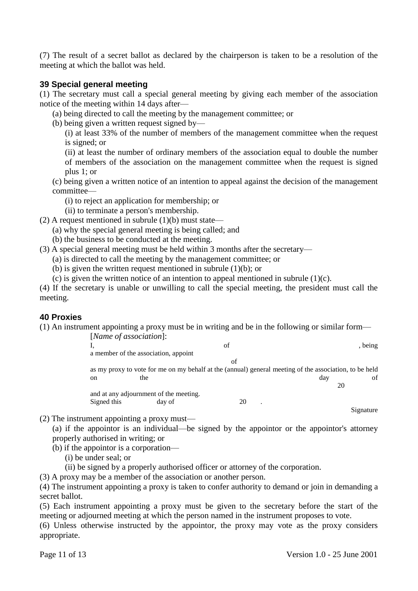(7) The result of a secret ballot as declared by the chairperson is taken to be a resolution of the meeting at which the ballot was held.

## **39 Special general meeting**

(1) The secretary must call a special general meeting by giving each member of the association notice of the meeting within 14 days after—

- (a) being directed to call the meeting by the management committee; or
- (b) being given a written request signed by—

(i) at least 33% of the number of members of the management committee when the request is signed; or

(ii) at least the number of ordinary members of the association equal to double the number of members of the association on the management committee when the request is signed plus 1; or

(c) being given a written notice of an intention to appeal against the decision of the management committee—

(i) to reject an application for membership; or

(ii) to terminate a person's membership.

- (2) A request mentioned in subrule  $(1)(b)$  must state—
	- (a) why the special general meeting is being called; and
	- (b) the business to be conducted at the meeting.
- (3) A special general meeting must be held within 3 months after the secretary—

(a) is directed to call the meeting by the management committee; or

- (b) is given the written request mentioned in subrule (1)(b); or
- (c) is given the written notice of an intention to appeal mentioned in subrule  $(1)(c)$ .

(4) If the secretary is unable or unwilling to call the special meeting, the president must call the meeting.

## **40 Proxies**

(1) An instrument appointing a proxy must be in writing and be in the following or similar form—

| [Name of association]: |                                        | of |                                                                                                        |
|------------------------|----------------------------------------|----|--------------------------------------------------------------------------------------------------------|
| ı.                     |                                        |    | , being                                                                                                |
|                        | a member of the association, appoint   |    |                                                                                                        |
|                        |                                        | of |                                                                                                        |
|                        |                                        |    | as my proxy to vote for me on my behalf at the (annual) general meeting of the association, to be held |
| <sub>on</sub>          |                                        |    |                                                                                                        |
|                        | the                                    |    | day                                                                                                    |
|                        |                                        |    | 20                                                                                                     |
|                        | and at any adjournment of the meeting. |    |                                                                                                        |
| Signed this            | day of                                 | 20 |                                                                                                        |

(2) The instrument appointing a proxy must—

(a) if the appointor is an individual—be signed by the appointor or the appointor's attorney properly authorised in writing; or

- (b) if the appointor is a corporation—
	- (i) be under seal; or
	- (ii) be signed by a properly authorised officer or attorney of the corporation.

(3) A proxy may be a member of the association or another person.

(4) The instrument appointing a proxy is taken to confer authority to demand or join in demanding a secret ballot.

(5) Each instrument appointing a proxy must be given to the secretary before the start of the meeting or adjourned meeting at which the person named in the instrument proposes to vote.

(6) Unless otherwise instructed by the appointor, the proxy may vote as the proxy considers appropriate.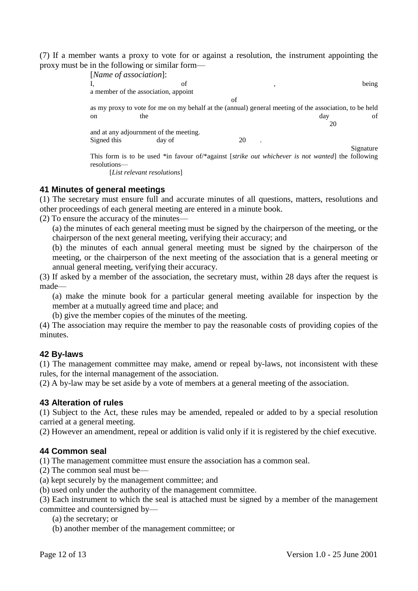(7) If a member wants a proxy to vote for or against a resolution, the instrument appointing the proxy must be in the following or similar form—

| [Name of association]: |                                        |                                                                                                         |     |           |
|------------------------|----------------------------------------|---------------------------------------------------------------------------------------------------------|-----|-----------|
|                        | of                                     |                                                                                                         |     | being     |
|                        | a member of the association, appoint   |                                                                                                         |     |           |
|                        |                                        | of                                                                                                      |     |           |
|                        |                                        | as my proxy to vote for me on my behalf at the (annual) general meeting of the association, to be held  |     |           |
| on                     | the                                    |                                                                                                         | day | of        |
|                        |                                        |                                                                                                         |     | 20        |
|                        | and at any adjournment of the meeting. |                                                                                                         |     |           |
| Signed this            | day of                                 | 20                                                                                                      |     |           |
|                        |                                        |                                                                                                         |     | Signature |
|                        |                                        | This form is to be used *in favour of /*against <i>strike out whichever is not wanted</i> the following |     |           |
| resolutions—           |                                        |                                                                                                         |     |           |
|                        |                                        |                                                                                                         |     |           |

[*List relevant resolutions*]

## **41 Minutes of general meetings**

(1) The secretary must ensure full and accurate minutes of all questions, matters, resolutions and other proceedings of each general meeting are entered in a minute book.

(2) To ensure the accuracy of the minutes—

(a) the minutes of each general meeting must be signed by the chairperson of the meeting, or the chairperson of the next general meeting, verifying their accuracy; and

(b) the minutes of each annual general meeting must be signed by the chairperson of the meeting, or the chairperson of the next meeting of the association that is a general meeting or annual general meeting, verifying their accuracy.

(3) If asked by a member of the association, the secretary must, within 28 days after the request is made—

(a) make the minute book for a particular general meeting available for inspection by the member at a mutually agreed time and place; and

(b) give the member copies of the minutes of the meeting.

(4) The association may require the member to pay the reasonable costs of providing copies of the minutes.

## **42 By-laws**

(1) The management committee may make, amend or repeal by-laws, not inconsistent with these rules, for the internal management of the association.

(2) A by-law may be set aside by a vote of members at a general meeting of the association.

#### **43 Alteration of rules**

(1) Subject to the Act, these rules may be amended, repealed or added to by a special resolution carried at a general meeting.

(2) However an amendment, repeal or addition is valid only if it is registered by the chief executive.

## **44 Common seal**

(1) The management committee must ensure the association has a common seal.

(2) The common seal must be—

(a) kept securely by the management committee; and

(b) used only under the authority of the management committee.

(3) Each instrument to which the seal is attached must be signed by a member of the management committee and countersigned by—

(a) the secretary; or

(b) another member of the management committee; or